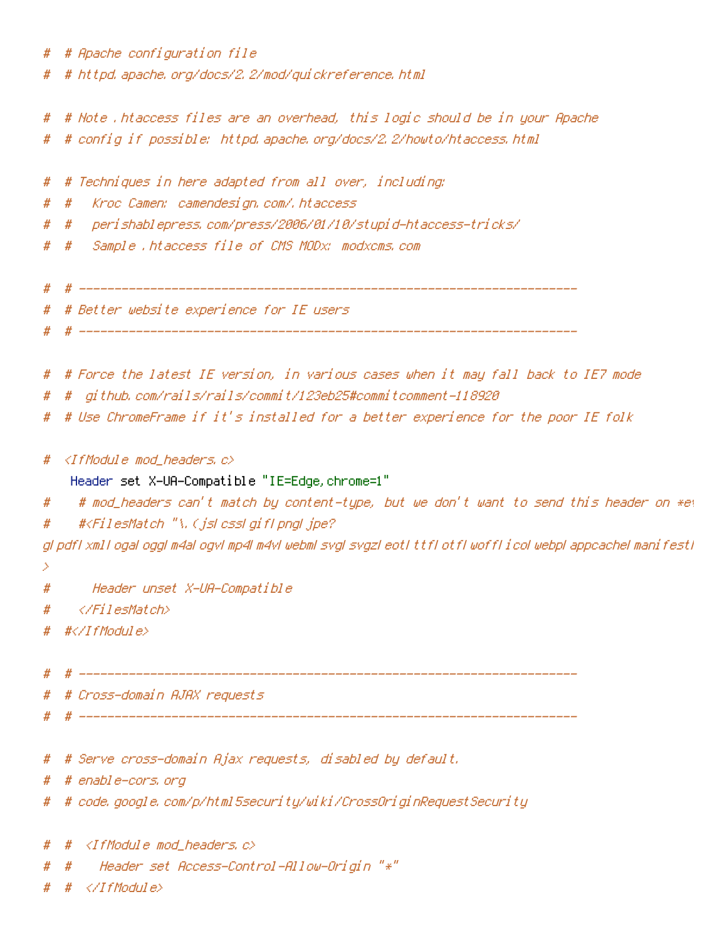|   | # # Apache configuration file                                                                                    |  |
|---|------------------------------------------------------------------------------------------------------------------|--|
|   | # # httpd, apache, org/docs/2, 2/mod/quickreference, html                                                        |  |
|   |                                                                                                                  |  |
|   | # # Note .htaccess files are an overhead, this logic should be in your Apache                                    |  |
|   | # config if possible: httpd.apache.org/docs/2.2/howto/htaccess.html<br>#                                         |  |
|   |                                                                                                                  |  |
|   | Techniques in here adapted from all over, including:<br>#<br>#                                                   |  |
|   | Kroc Camen: camendesign, com/, htaccess<br>#<br>#                                                                |  |
|   | peri shablepress, com/press/2006/01/10/stupid-htaccess-tricks/<br>#<br>#                                         |  |
|   | Sample .htaccess file of CMS MODx: modxcms.com<br>#<br>#                                                         |  |
|   |                                                                                                                  |  |
|   |                                                                                                                  |  |
|   | # # Better website experience for IE users                                                                       |  |
|   |                                                                                                                  |  |
|   |                                                                                                                  |  |
|   | # # Force the latest IE version, in various cases when it may fall back to IE7 mode                              |  |
|   | github, com/rails/rails/commit/123eb25#commitcomment-118920<br>#<br>#                                            |  |
|   | # Use ChromeFrame if it's installed for a better experience for the poor IE folk<br>#                            |  |
|   | <ifmodule mod_headers.c=""><br/>#</ifmodule>                                                                     |  |
|   | Header set X-UA-Compatible "IE=Edge, chrome=1"                                                                   |  |
|   | # mod_headers can't match by content-type, but we don't want to send this header on *e\<br>#                     |  |
|   | # <filesmatch "\,="" (jslcsslgiflpngljpe?<br="">#</filesmatch>                                                   |  |
|   | gl pdfl xmll ogal oggl m4al ogvl mp4l m4vl webml svgl svgzl eoti ttfl otfl woffl i col webpl appcachel manifesti |  |
| 2 |                                                                                                                  |  |
|   | Header unset X-UA-Compatible<br>#                                                                                |  |
|   | <br>#                                                                                                            |  |
|   | $\# \langle \angle I$ f Modul e $\rangle$<br>#                                                                   |  |
|   |                                                                                                                  |  |
|   | #                                                                                                                |  |
|   | # # Cross-domain AJAX requests                                                                                   |  |
|   |                                                                                                                  |  |
|   |                                                                                                                  |  |
|   | # # Serve cross-domain Ajax requests, disabled by default.                                                       |  |
|   | # # enable-cors, org                                                                                             |  |
|   | #-code, google, com/p/html5security/wiki/CrossOriginRequestSecurity<br>#                                         |  |
|   |                                                                                                                  |  |
|   | <ifmodule mod_headers.c=""></ifmodule>                                                                           |  |

- # # Header set Access-Control-Allow-Origin "\*"
- #  $#$   $\langle$ /IfModule>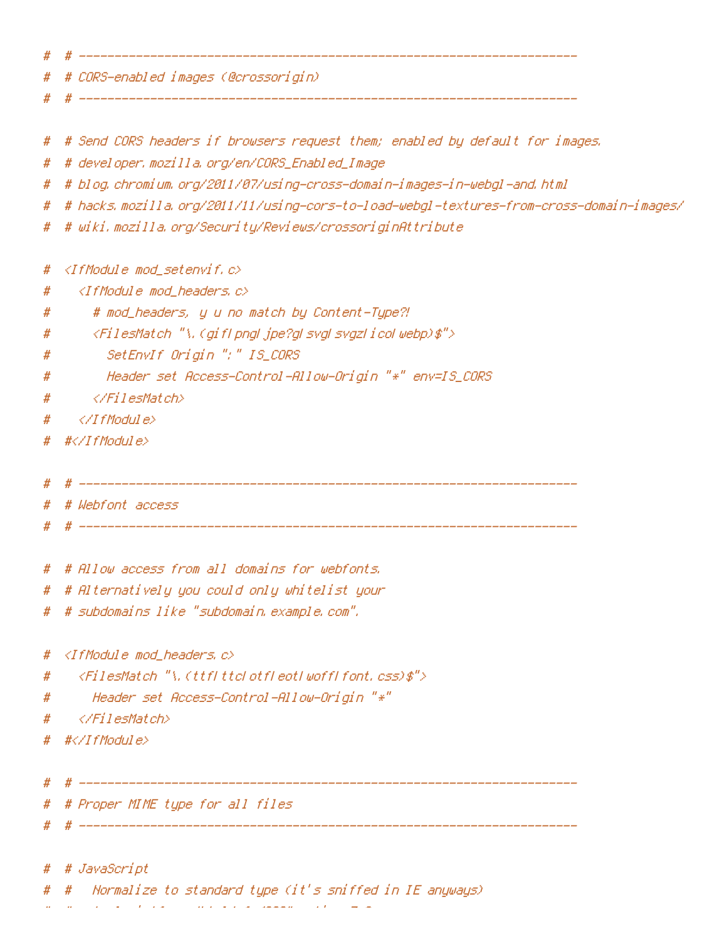| # |                                                                                               |
|---|-----------------------------------------------------------------------------------------------|
| # | # CORS-enabled images (@crossorigin)                                                          |
| # |                                                                                               |
| # | # Send CORS headers if browsers request them; enabled by default for images.                  |
| # | # developer, mozilla, org/en/CORS_Enabled_Image                                               |
| # | # blog, chromium, org/2011/07/using-cross-domain-images-in-webgl-and, html                    |
| # | # hacks.mozilla.org/2011/11/using-cors-to-load-webgl-textures-from-cross-domain-images/       |
| # | # wiki.mozilla.org/Security/Reviews/crossoriginAttribute                                      |
| # | <ifmodule mod_setenvif.c=""></ifmodule>                                                       |
| # | $\triangleleft$ IfModule mod headers, c $\triangleright$                                      |
| # | # mod_headers, y u no match by Content-Type?!                                                 |
| # | <filesmatch="\, (giflpng ="" ico ="" jpe?g ="" svgz ="" svg ="" webp)\$"=""></filesmatch="\,> |
| # | SetEnvIf Origin ":" IS_CORS                                                                   |
| # | Header set Access-Control-Allow-Origin "*" env=IS_CORS                                        |
| # |                                                                                               |
| # |                                                                                               |
| # | #                                                                                             |
| # |                                                                                               |
| # | # Webfont access                                                                              |
|   |                                                                                               |
| # | # Allow access from all domains for webfonts,                                                 |
| # | # Alternatively you could only whitelist your                                                 |
| # | - # subdomains like "subdomain, example, com",                                                |
|   |                                                                                               |
| # | <ifmodule mod_headers,c=""></ifmodule>                                                        |
| # | $\langle$ FilesMatch "\, (ttfl ttcl otfl eotl woffl font, css)\$">                            |
| # | Header set Access-Control-Allow-Origin "*"                                                    |
| # |                                                                                               |
| # | #                                                                                             |
| # |                                                                                               |
| # | # Proper MIME type for all files                                                              |
| # |                                                                                               |
|   | # # JavaScript                                                                                |

# # Normalize to standard type (it's sniffed in IE anyways)

# # tools.ietf.org/html/rfc4329#section-7.2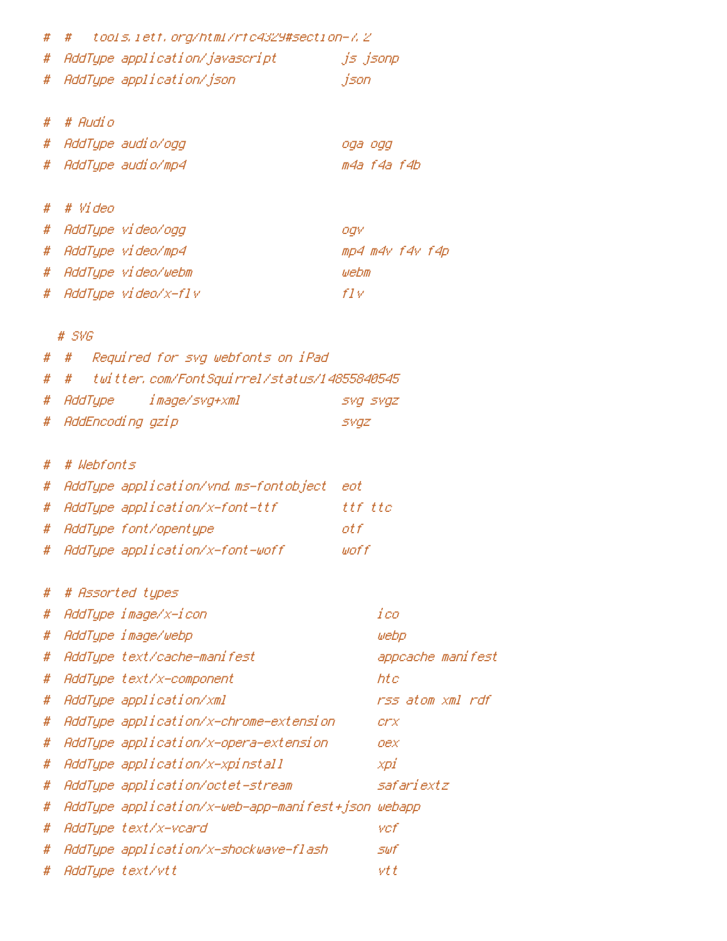| # | $\#$                        | tools,ietf.org/html/rfc4329#section-7,2            |                   |
|---|-----------------------------|----------------------------------------------------|-------------------|
| # |                             | AddType application/javascript                     | js jsonp          |
| # | AddType application/json    |                                                    | json              |
|   |                             |                                                    |                   |
| # | # Audio                     |                                                    |                   |
| # | AddType audio/ogg           |                                                    | oga ogg           |
| # | AddType audio/mp4           |                                                    | m4a f4a f4b       |
|   |                             |                                                    |                   |
| # | # Video                     |                                                    |                   |
| # | AddType video/ogg           |                                                    | ogv               |
| # | AddType video/mp4           |                                                    | mp4 m4v f4v f4p   |
| # | AddType video/webm          |                                                    | webm              |
| # | AddType video/x-flv         |                                                    | fIV               |
|   |                             |                                                    |                   |
| # | $#$ SVG<br>#                | Required for svg webfonts on iPad                  |                   |
| # | #                           | twitter, com/FontSquirrel/status/14855840545       |                   |
| # | AddType image/svg+xml       |                                                    | SVQ SVQZ          |
| # | AddEncoding gzip            |                                                    | <b>SVGZ</b>       |
|   |                             |                                                    |                   |
| # | # Webfonts                  |                                                    |                   |
| # |                             | AddType application/vnd.ms-fontobject eot          |                   |
| # |                             | AddType application/x-font-ttf                     | ttf ttc           |
| # | AddType font/opentype       |                                                    | ot f              |
| # |                             | AddType application/x-font-woff                    | woff              |
|   |                             |                                                    |                   |
| # | # Assorted types            |                                                    |                   |
| # | AddType image/x-icon        |                                                    | ico               |
| # | AddType image/webp          |                                                    | webp              |
| # | AddTupe text/cache-manifest |                                                    | appcache manifest |
| # | AddType text/x-component    |                                                    | htc               |
| # | AddType application/xml     |                                                    | rss atom xml rdf  |
| # |                             | AddType application/x-chrome-extension             | crx               |
| # |                             | AddTupe application/x-opera-extension              | oex               |
| # |                             | AddType application/x-xpinstall                    | xpi               |
| # |                             | AddTupe application/octet-stream                   | safariextz        |
| # |                             | AddType application/x-web-app-manifest+json webapp |                   |
| # | AddType text/x-vcard        |                                                    | vcf               |
| # |                             | AddTupe application/x-shockwave-flash              | <i><b>SWf</b></i> |
| # | AddType text/vtt            |                                                    | vt t              |
|   |                             |                                                    |                   |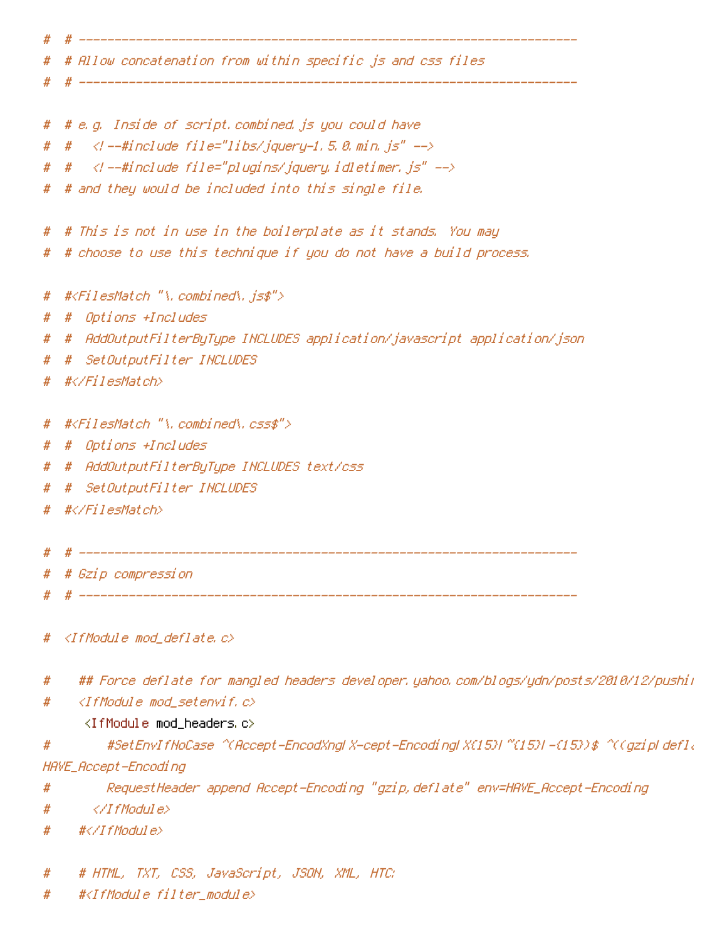| #     | # Allow concatenation from within specific js and css files                             |
|-------|-----------------------------------------------------------------------------------------|
| #     |                                                                                         |
|       | # # e.g. Inside of script.combined.js you could have                                    |
| $#$ # | — #include file="libs/jquery-1.5.0.min.js"                                              |
|       | # # --#include file="plugins/jquery.idletimer.js" --                                    |
| #     | # and they would be included into this single file.                                     |
|       |                                                                                         |
| #     | # This is not in use in the boilerplate as it stands, You may                           |
| #     | # choose to use this technique if you do not have a build process.                      |
| #     | # <filesmatch "\.combined\.js\$"=""></filesmatch>                                       |
| #     | Options +Includes<br>#                                                                  |
| #     | AddOutputFilterByType INCLUDES application/javascript application/json_<br>#            |
| #     | SetOutputFilter INCLUDES<br>#                                                           |
| #     | #                                                                                       |
| #     | # <filesmatch "\.combined\.css\$"=""></filesmatch>                                      |
| #     | Options +Includes<br>#                                                                  |
| #     | AddOutputFilterByType INCLUDES text/css<br>#                                            |
| #     | SetOutputFilter INCLUDES<br>#                                                           |
|       | # #                                                                                     |
| #     |                                                                                         |
|       |                                                                                         |
| #     | # Gzip compression                                                                      |
|       |                                                                                         |
| #     | <ifmodule mod_deflate.c=""></ifmodule>                                                  |
| #     | ## Force deflate for mangled headers developer,yahoo,com/blogs/ydn/posts/2010/12/pushii |
| #     | $\triangleleft$ IfModule mod_setenvif.c>                                                |
|       | <ifmodule mod_headers.c=""></ifmodule>                                                  |
| #     | #SetEnvIfNoCase=^CAccept=EncodXngLX-cept=EncodingLX(15)L^{(15)L=(15))\$=^C(gzipLdefI{   |
|       | HAVE_Accept -Encoding                                                                   |
| #     | RequestHeader append Accept-Encoding "gzip,deflate" env=HAVE_Accept-Encoding            |
| #     |                                                                                         |
| #     | #                                                                                       |
| #     | # HTML, TXT, CSS, JavaScript, JSON, XML, HTC:                                           |
|       |                                                                                         |

# #<IfModule filter\_module>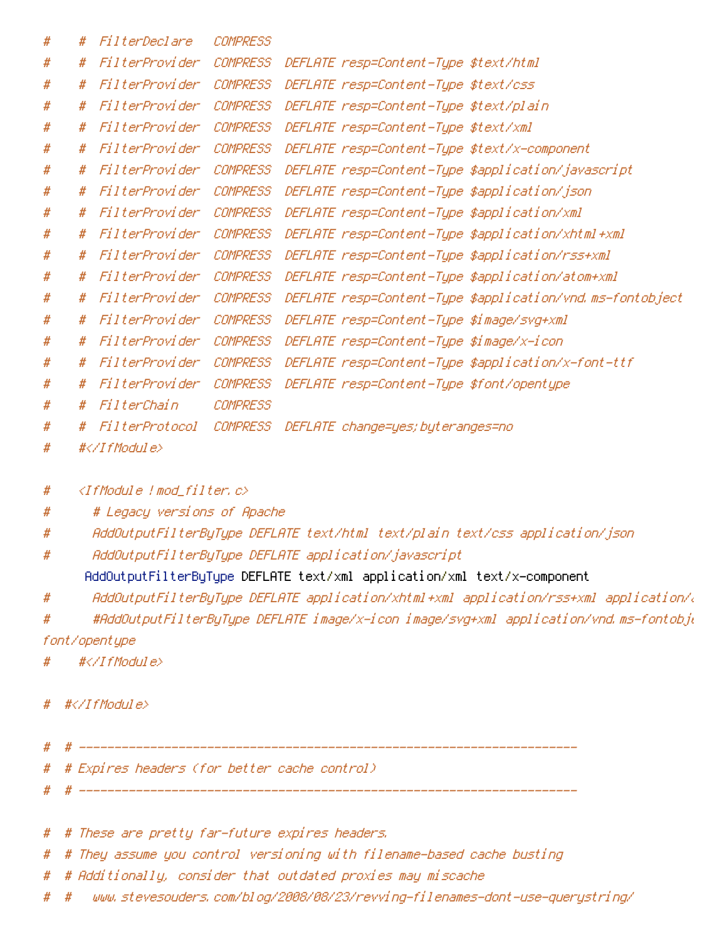| # | # | FilterDeclare  | COMPRESS        |                                                           |
|---|---|----------------|-----------------|-----------------------------------------------------------|
| # | # | FilterProvider | <b>COMPRESS</b> | DEFLATE resp=Content-Type \$text/html                     |
| # | # | FilterProvider | <b>COMPRESS</b> | DEFLATE resp=Content-Type \$text/css                      |
| # | # | FilterProvider | <b>COMPRESS</b> | DEFLATE resp=Content-Type \$text/plain                    |
| # | # | FilterProvider | <b>COMPRESS</b> | DEFLATE resp=Content-Type \$text/xml                      |
| # | # | FilterProvider | <b>COMPRESS</b> | DEFLATE resp=Content-Type \$text/x-component              |
| # | # | FilterProvider | <b>COMPRESS</b> | DEFLATE resp=Content-Type \$application/javascript        |
| # | # | FilterProvider | <b>COMPRESS</b> | DEFLATE resp=Content-Type \$application/json              |
| # | # | FilterProvider | <b>COMPRESS</b> | DEFLATE resp=Content-Type \$application/xml               |
| # | # | FilterProvider | COMPRESS        | DEFLATE resp=Content-Type \$application/xhtml+xml         |
| # | # | FilterProvider | <b>COMPRESS</b> | DEFLATE resp=Content-Type \$application/rss+xml           |
| # | # | FilterProvider | <b>COMPRESS</b> | DEFLATE resp=Content-Type \$application/atom+xml          |
| # | # | FilterProvider | <b>COMPRESS</b> | DEFLATE resp=Content-Type \$application/vnd.ms-fontobject |
| # | # | FilterProvider | <b>COMPRESS</b> | DEFLATE resp=Content-Type \$image/svg+xml                 |
| # | # | FilterProvider | <b>COMPRESS</b> | DEFLATE resp=Content-Type \$image/x-icon                  |
| # | # | FilterProvider | COMPRESS        | DEFLATE resp=Content-Type \$application/x-font-ttf        |
| # | # | FilterProvider | <b>COMPRESS</b> | DEFLATE resp=Content-Type \$font/opentype                 |
| # | # | FilterChain    | <b>COMPRESS</b> |                                                           |
| # | # | FilterProtocol | <b>COMPRESS</b> | DEFLATE change=yes; byteranges=no                         |
| # |   | #              |                 |                                                           |
|   |   |                |                 |                                                           |

- # <IfModule !mod\_filter.c>
- # # Legacy versions of Apache
- # AddOutputFilterByType DEFLATE text/html text/plain text/css application/json
- # AddOutputFilterByType DEFLATE application/javascript

AddOutputFilterByType DEFLATE text/xml application/xml text/x-component

# AddOutputFilterByType DEFLATE application/xhtml+xml application/rss+xml application/atom+xml

# #AddOutputFilterByType DEFLATE image/x-icon image/svg+xml application/vnd.ms-fontobje font/opentype

- # #</IfModule>
- # #</IfModule>
- # # ----------------------------------------------------------------------
- # # Expires headers (for better cache control)
- # -------------------------
- # # These are pretty far-future expires headers.
- # # They assume you control versioning with filename-based cache busting
- # # Additionally, consider that outdated proxies may miscache
- # # www.stevesouders.com/blog/2008/08/23/revving-filenames-dont-use-querystring/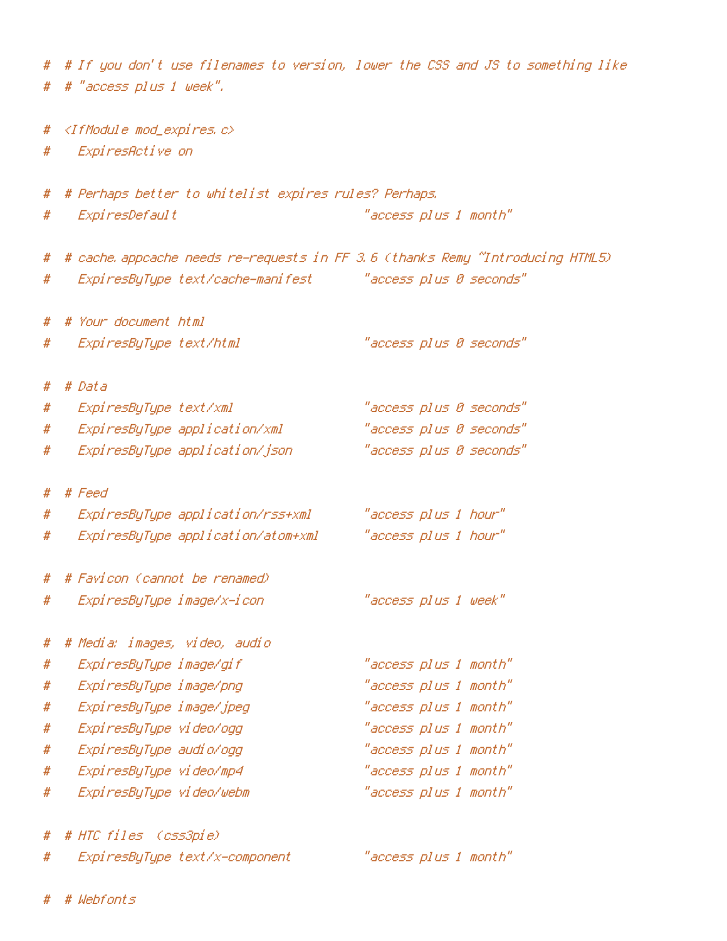# # If you don't use filenames to version, lower the CSS and JS to something like # # "access plus 1 week". # <IfModule mod\_expires.c> # ExpiresActive on # # Perhaps better to whitelist expires rules? Perhaps. # ExpiresDefault "access plus 1 month" # # cache.appcache needs re-requests in FF 3.6 (thanks Remy ~Introducing HTML5) # ExpiresByType text/cache-manifest "access plus 0 seconds" # # Your document html # ExpiresByType text/html "access plus 0 seconds" # # Data # ExpiresByType text/xml "access plus 0 seconds" # ExpiresByType application/xml "access plus 0 seconds" # ExpiresByType application/json "access plus 0 seconds" # # Feed # ExpiresByType application/rss+xml "access plus 1 hour" # ExpiresByType application/atom+xml "access plus 1 hour" # # Favicon (cannot be renamed) # ExpiresByType image/x-icon "access plus 1 week" # # Media: images, video, audio # ExpiresByType image/gif "access plus 1 month" # ExpiresByType image/png "access plus 1 month" # ExpiresByType image/jpeg "access plus 1 month" # ExpiresByType video/ogg "access plus 1 month" # ExpiresByType audio/ogg "access plus 1 month" # ExpiresByType video/mp4 "access plus 1 month" # ExpiresByType video/webm "access plus 1 month" # # HTC files (css3pie) # ExpiresByType text/x-component "access plus 1 month"

# # Webfonts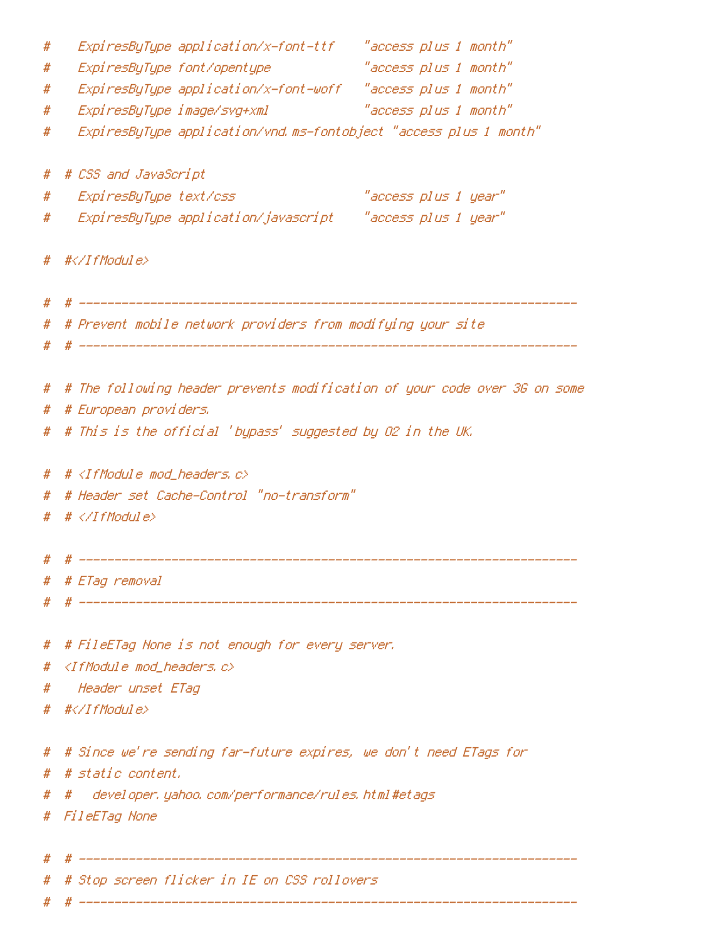| "access plus 1 month"<br>ExpiresByType font/opentype<br>#<br>ExpiresByType application/x-font-woff "access plus 1 month"<br>#<br><i>"access plus 1 month"</i><br>ExpiresByType image/svg+xml<br>#<br>ExpiresByType application/vnd.ms-fontobject "access plus 1 month"<br>#<br># # CSS and JavaScript<br>"access plus 1 year"<br>ExpiresByType text/css<br>#<br>#<br># #<br># # Prevent mobile network providers from modifying your site<br>#<br># # The following header prevents modification of your code over 3G on some<br># # European providers.<br># # This is the official 'bypass' suggested by O2 in the UK.<br># # <ifmodule mod_headers.c=""><br/># Header set Cache-Control "no-transform"<br/>#<br/># # <math>\langle</math>/IfModule&gt;<br/>#<br/># # ETag removal<br/>#<br/># FileETag None is not enough for every server.<br/>#<br/><ifmodule c="" mod_headers,=""><br/>#<br/>Header unset ETag<br/>#<br/># #</ifmodule><br/># Since we're sending far-future expires, we don't need ETags for<br/>#<br/># # static content.<br/>developer, yahoo, com/performance/rules, html#etags<br/>#<br/>#<br/># FileETag None<br/>#<br/># Stop screen flicker in IE on CSS rollovers<br/>#</ifmodule> | # |  |  |  |
|-------------------------------------------------------------------------------------------------------------------------------------------------------------------------------------------------------------------------------------------------------------------------------------------------------------------------------------------------------------------------------------------------------------------------------------------------------------------------------------------------------------------------------------------------------------------------------------------------------------------------------------------------------------------------------------------------------------------------------------------------------------------------------------------------------------------------------------------------------------------------------------------------------------------------------------------------------------------------------------------------------------------------------------------------------------------------------------------------------------------------------------------------------------------------------------------------------------------|---|--|--|--|
|                                                                                                                                                                                                                                                                                                                                                                                                                                                                                                                                                                                                                                                                                                                                                                                                                                                                                                                                                                                                                                                                                                                                                                                                                   |   |  |  |  |
|                                                                                                                                                                                                                                                                                                                                                                                                                                                                                                                                                                                                                                                                                                                                                                                                                                                                                                                                                                                                                                                                                                                                                                                                                   |   |  |  |  |
|                                                                                                                                                                                                                                                                                                                                                                                                                                                                                                                                                                                                                                                                                                                                                                                                                                                                                                                                                                                                                                                                                                                                                                                                                   |   |  |  |  |
|                                                                                                                                                                                                                                                                                                                                                                                                                                                                                                                                                                                                                                                                                                                                                                                                                                                                                                                                                                                                                                                                                                                                                                                                                   |   |  |  |  |
|                                                                                                                                                                                                                                                                                                                                                                                                                                                                                                                                                                                                                                                                                                                                                                                                                                                                                                                                                                                                                                                                                                                                                                                                                   |   |  |  |  |
|                                                                                                                                                                                                                                                                                                                                                                                                                                                                                                                                                                                                                                                                                                                                                                                                                                                                                                                                                                                                                                                                                                                                                                                                                   |   |  |  |  |
|                                                                                                                                                                                                                                                                                                                                                                                                                                                                                                                                                                                                                                                                                                                                                                                                                                                                                                                                                                                                                                                                                                                                                                                                                   |   |  |  |  |
|                                                                                                                                                                                                                                                                                                                                                                                                                                                                                                                                                                                                                                                                                                                                                                                                                                                                                                                                                                                                                                                                                                                                                                                                                   |   |  |  |  |
|                                                                                                                                                                                                                                                                                                                                                                                                                                                                                                                                                                                                                                                                                                                                                                                                                                                                                                                                                                                                                                                                                                                                                                                                                   |   |  |  |  |
|                                                                                                                                                                                                                                                                                                                                                                                                                                                                                                                                                                                                                                                                                                                                                                                                                                                                                                                                                                                                                                                                                                                                                                                                                   |   |  |  |  |
|                                                                                                                                                                                                                                                                                                                                                                                                                                                                                                                                                                                                                                                                                                                                                                                                                                                                                                                                                                                                                                                                                                                                                                                                                   |   |  |  |  |
|                                                                                                                                                                                                                                                                                                                                                                                                                                                                                                                                                                                                                                                                                                                                                                                                                                                                                                                                                                                                                                                                                                                                                                                                                   |   |  |  |  |
|                                                                                                                                                                                                                                                                                                                                                                                                                                                                                                                                                                                                                                                                                                                                                                                                                                                                                                                                                                                                                                                                                                                                                                                                                   |   |  |  |  |
|                                                                                                                                                                                                                                                                                                                                                                                                                                                                                                                                                                                                                                                                                                                                                                                                                                                                                                                                                                                                                                                                                                                                                                                                                   |   |  |  |  |
|                                                                                                                                                                                                                                                                                                                                                                                                                                                                                                                                                                                                                                                                                                                                                                                                                                                                                                                                                                                                                                                                                                                                                                                                                   |   |  |  |  |
|                                                                                                                                                                                                                                                                                                                                                                                                                                                                                                                                                                                                                                                                                                                                                                                                                                                                                                                                                                                                                                                                                                                                                                                                                   |   |  |  |  |
|                                                                                                                                                                                                                                                                                                                                                                                                                                                                                                                                                                                                                                                                                                                                                                                                                                                                                                                                                                                                                                                                                                                                                                                                                   |   |  |  |  |
|                                                                                                                                                                                                                                                                                                                                                                                                                                                                                                                                                                                                                                                                                                                                                                                                                                                                                                                                                                                                                                                                                                                                                                                                                   |   |  |  |  |
|                                                                                                                                                                                                                                                                                                                                                                                                                                                                                                                                                                                                                                                                                                                                                                                                                                                                                                                                                                                                                                                                                                                                                                                                                   |   |  |  |  |
|                                                                                                                                                                                                                                                                                                                                                                                                                                                                                                                                                                                                                                                                                                                                                                                                                                                                                                                                                                                                                                                                                                                                                                                                                   |   |  |  |  |
|                                                                                                                                                                                                                                                                                                                                                                                                                                                                                                                                                                                                                                                                                                                                                                                                                                                                                                                                                                                                                                                                                                                                                                                                                   |   |  |  |  |
|                                                                                                                                                                                                                                                                                                                                                                                                                                                                                                                                                                                                                                                                                                                                                                                                                                                                                                                                                                                                                                                                                                                                                                                                                   |   |  |  |  |
|                                                                                                                                                                                                                                                                                                                                                                                                                                                                                                                                                                                                                                                                                                                                                                                                                                                                                                                                                                                                                                                                                                                                                                                                                   |   |  |  |  |
|                                                                                                                                                                                                                                                                                                                                                                                                                                                                                                                                                                                                                                                                                                                                                                                                                                                                                                                                                                                                                                                                                                                                                                                                                   |   |  |  |  |
|                                                                                                                                                                                                                                                                                                                                                                                                                                                                                                                                                                                                                                                                                                                                                                                                                                                                                                                                                                                                                                                                                                                                                                                                                   |   |  |  |  |
|                                                                                                                                                                                                                                                                                                                                                                                                                                                                                                                                                                                                                                                                                                                                                                                                                                                                                                                                                                                                                                                                                                                                                                                                                   |   |  |  |  |
|                                                                                                                                                                                                                                                                                                                                                                                                                                                                                                                                                                                                                                                                                                                                                                                                                                                                                                                                                                                                                                                                                                                                                                                                                   |   |  |  |  |
|                                                                                                                                                                                                                                                                                                                                                                                                                                                                                                                                                                                                                                                                                                                                                                                                                                                                                                                                                                                                                                                                                                                                                                                                                   |   |  |  |  |
|                                                                                                                                                                                                                                                                                                                                                                                                                                                                                                                                                                                                                                                                                                                                                                                                                                                                                                                                                                                                                                                                                                                                                                                                                   |   |  |  |  |
|                                                                                                                                                                                                                                                                                                                                                                                                                                                                                                                                                                                                                                                                                                                                                                                                                                                                                                                                                                                                                                                                                                                                                                                                                   |   |  |  |  |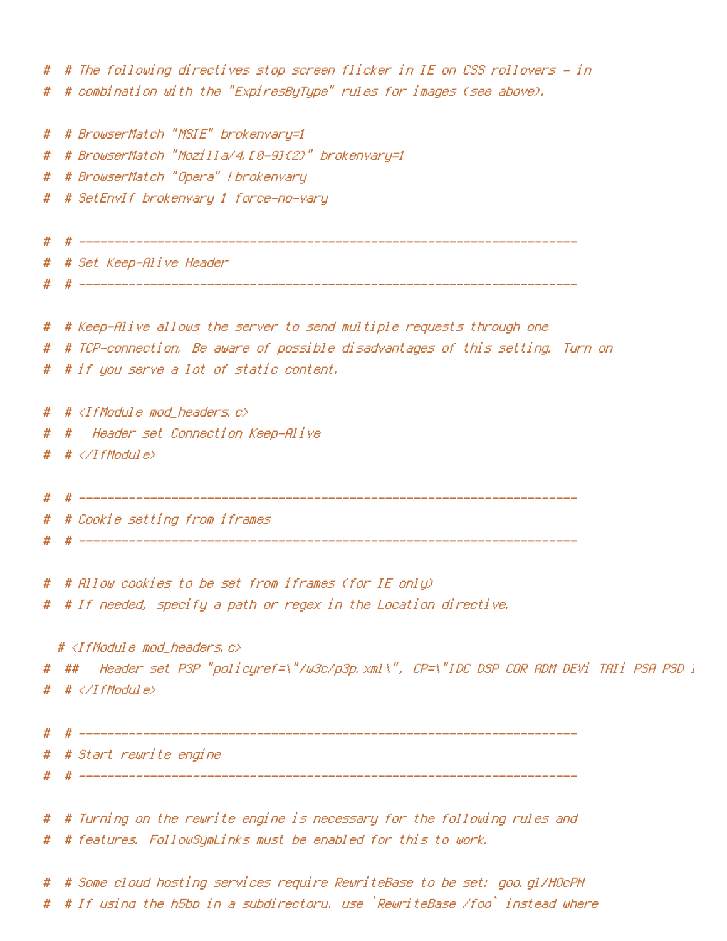# # The following directives stop screen flicker in IE on CSS rollovers - in # # combination with the "ExpiresByType" rules for images (see above). # # BrowserMatch "MSIE" brokenvary=1 # # BrowserMatch "Mozilla/4.[0-9]{2}" brokenvary=1 # # BrowserMatch "Opera" !brokenvary # # SetEnvIf brokenvary 1 force-no-vary # # ---------------------------------------------------------------------- # # Set Keep-Alive Header # # ---------------------------------------------------------------------- # # Keep-Alive allows the server to send multiple requests through one # # TCP-connection. Be aware of possible disadvantages of this setting. Turn on # # if you serve <sup>a</sup> lot of static content. # # <IfModule mod\_headers.c> # # Header set Connection Keep-Alive  $# <$ /IfModule> # # ---------------------------------------------------------------------- # # Cookie setting from iframes # --------------------------# # Allow cookies to be set from iframes (for IE only) # # If needed, specify <sup>a</sup> path or regex in the Location directive. # <IfModule mod\_headers.c> # ## Header set P3P "policyref=\"/w3c/p3p.xml\", CP=\"IDC DSP COR ADM DEVi TAIi PSA PSD I # # </IfModule> # # ---------------------------------------------------------------------- # # Start rewrite engine # # ---------------------------------------------------------------------- # # Turning on the rewrite engine is necessary for the following rules and # # features. FollowSymLinks must be enabled for this to work. # # Some cloud hosting services require RewriteBase to be set: goo.gl/HOcPN

# # If using the h5bp in <sup>a</sup> subdirectory, use `RewriteBase /foo` instead where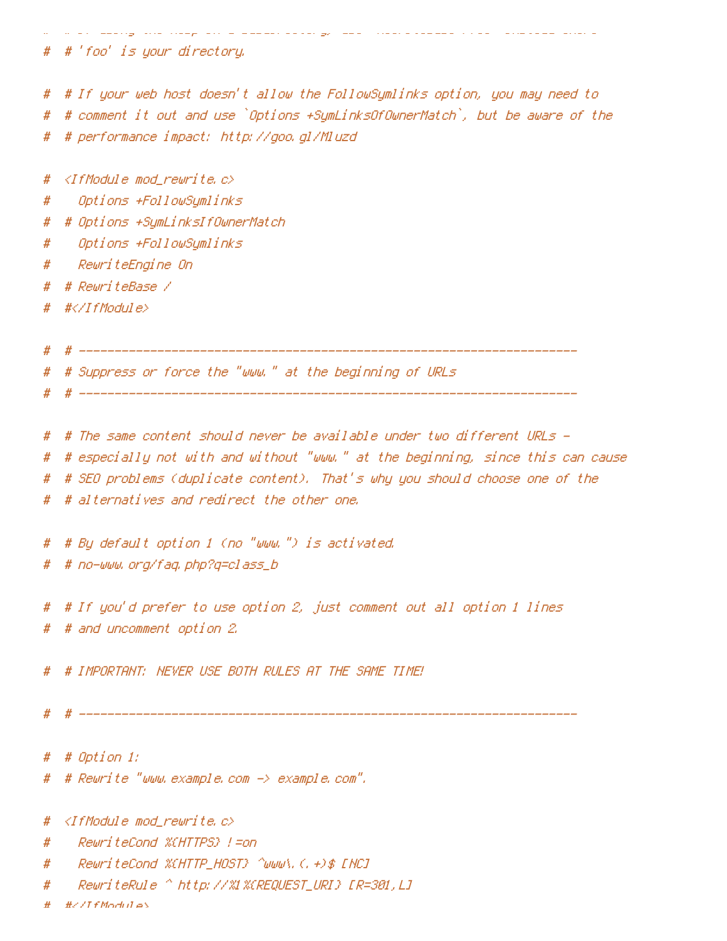# # If using the h5bp in <sup>a</sup> subdirectory, use `RewriteBase /foo` instead where # # 'foo' is your directory. # # If your web host doesn't allow the FollowSymlinks option, you may need to # # comment it out and use `Options +SymLinksOfOwnerMatch`, but be aware of the # # performance impact: http://goo.gl/Mluzd # <IfModule mod\_rewrite.c> # Options +FollowSymlinks # # Options +SymLinksIfOwnerMatch # Options +FollowSymlinks # RewriteEngine On # # RewriteBase /  $\# \langle \angle I$ f Module $\rangle$ # # ---------------------------------------------------------------------- # # Suppress or force the "www." at the beginning of URLs # # ---------------------------------------------------------------------- # # The same content should never be available under two different URLs - # # especially not with and without "www." at the beginning, since this can cause # # SEO problems (duplicate content). That's why you should choose one of the # # alternatives and redirect the other one. # # By default option 1 (no "www.") is activated. # # no-www.org/faq.php?q=class\_b # # If you'd prefer to use option 2, just comment out all option 1 lines # # and uncomment option 2. # # IMPORTANT: NEVER USE BOTH RULES AT THE SAME TIME! # # ---------------------------------------------------------------------- # # Option 1: # # Rewrite "www.example.com -> example.com". # <IfModule mod\_rewrite.c> # RewriteCond %{HTTPS} !=on # RewriteCond %{HTTP\_HOST} ^www\.(.+)\$ [NC]

# RewriteRule ^ http://%1%{REQUEST\_URI} [R=301,L]

 $\#$  / If Modules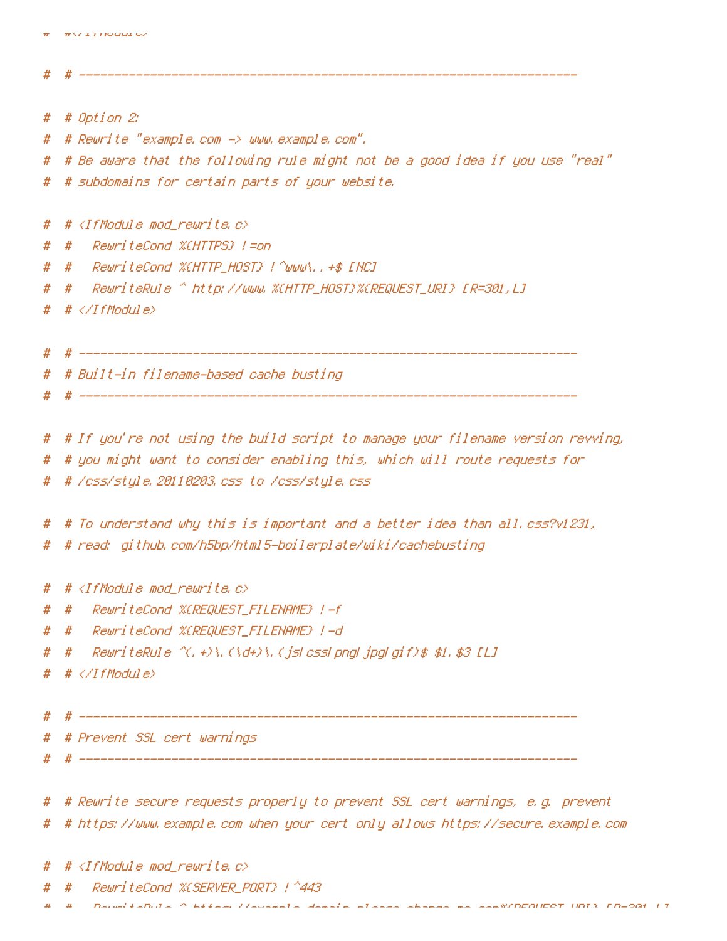```
# # Option 2:
# # Rewrite "example.com -> www.example.com".
# # Be aware that the following rule might not be a good idea if you use "real"
# # subdomains for certain parts of your website.
# # <IfModule mod rewrite.c>
# # RewriteCond %{HTTPS} !=on
# # RewriteCond %{HTTP_HOST} !^www\..+$ [NC]
# # RewriteRule ^ http://www.%{HTTP_HOST}%{REQUEST_URI} [R=301,L]
  # \triangle/IfModule>
  # # ----------------------------------------------------------------------
# # Built-in filename-based cache busting
  # # ----------------------------------------------------------------------
# # If you're not using the build script to manage your filename version revving,
# # you might want to consider enabling this, which will route requests for
# # /css/style.20110203.css to /css/style.css
# # To understand why this is important and a better idea than all.css?v1231,
# # read: github.com/h5bp/html5-boilerplate/wiki/cachebusting
# # <IfModule mod rewrite.c>
# # RewriteCond %{REQUEST_FILENAME} !-f
# # RewriteCond %{REQUEST_FILENAME} !-d
# # RewriteRule ^(.+)\.(\d+)\.(js|css|png|jpg|gif)$ $1.$3 [L]
# # </IfModule>
   # # ----------------------------------------------------------------------
   # # Prevent SSL cert warnings
   # # ----------------------------------------------------------------------
# # Rewrite secure requests properly to prevent SSL cert warnings, e.g. prevent
# # https://www.example.com when your cert only allows https://secure.example.com
  # \triangleleftIfModule mod rewrite.c>
      # # RewriteCond %{SERVER_PORT} !^443
```
# # ----------------------------------------------------------------------

```
H + Rexample-domain-domain-please-change-change-change-change-uring-me.com
```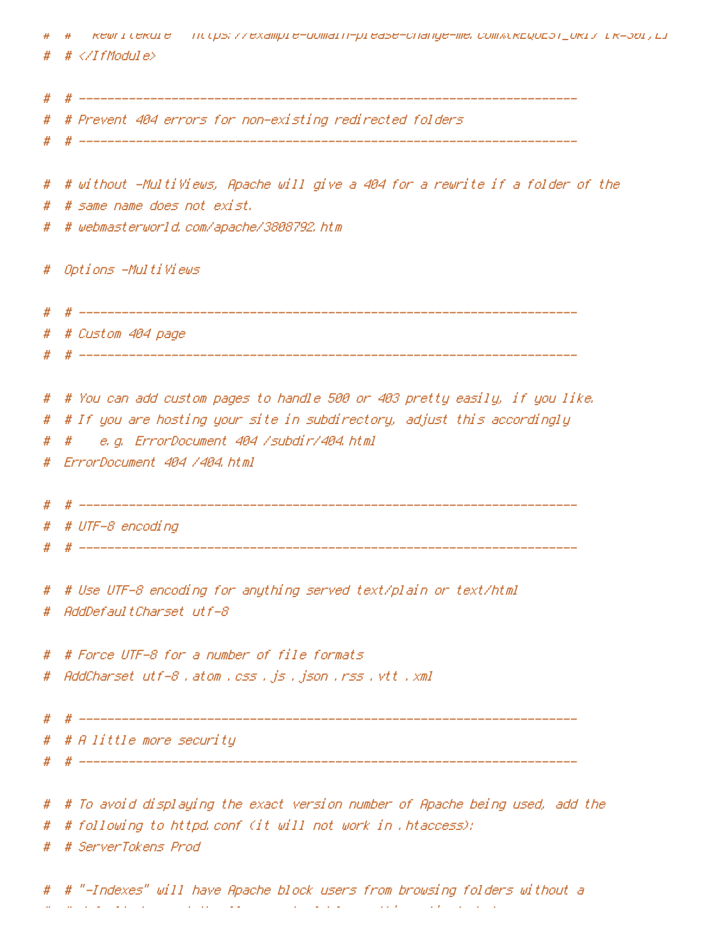|   | кешпі секшіе — псорз; //ехатріе-дотагп-ріеазе-спапде-те, сотжокдидат_икі/ і к=зві, ді<br># |
|---|--------------------------------------------------------------------------------------------|
| # |                                                                                            |
| # |                                                                                            |
|   | # Prevent 404 errors for non-existing redirected folders                                   |
| # |                                                                                            |
| # |                                                                                            |
| # | # without -MultiViews, Apache will give a 404 for a rewrite if a folder of the             |
| # | # same name does not exist.                                                                |
| # | # webmasterworld.com/apache/3808792.htm                                                    |
| # | Options -MultiViews                                                                        |
| # |                                                                                            |
| # | # Custom 404 page                                                                          |
| # |                                                                                            |
|   | # # You can add custom pages to handle 500 or 403 pretty easily, if you like.              |
| # | # If you are hosting your site in subdirectory, adjust this accordingly                    |
| # | e.g. ErrorDocument 404 /subdir/404.html<br>#                                               |
| # | ErrorDocument 404 /404.html                                                                |
|   |                                                                                            |
| # |                                                                                            |
|   | # # UTF-8 encoding                                                                         |
|   |                                                                                            |
|   |                                                                                            |
| # | # Use UTF-8 encoding for anything served text/plain or text/html                           |
| # | AddDefaultCharset utf-8                                                                    |
| # | # Force UTF-8 for a number of file formats                                                 |
| # | AddCharset utf-8 .atom .css .js .json .rss .vtt .xml                                       |
|   |                                                                                            |
| # |                                                                                            |
|   | # # A little more security                                                                 |
| # |                                                                                            |
| # | # To avoid displaying the exact version number of Apache being used, add the               |
| # | # following to httpd.conf (it will not work in .htaccess):                                 |
|   | # ServerTokens Prod                                                                        |
| # |                                                                                            |
|   |                                                                                            |

# # "-Indexes" will have Apache block users from browsing folders without <sup>a</sup> # # default document Usually you should leave this activated, because you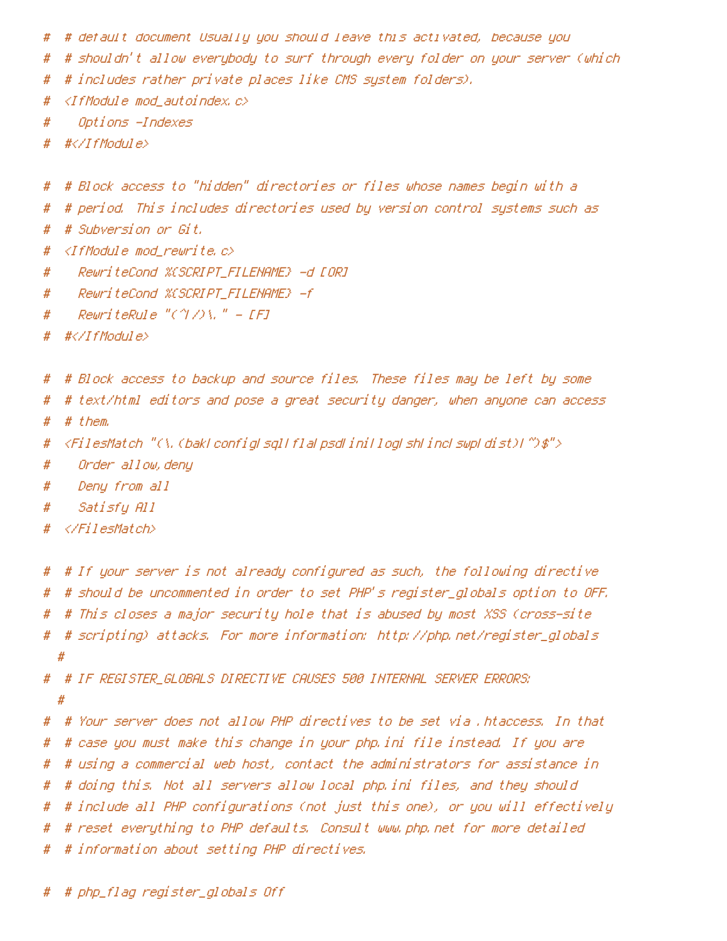- # # default document Usually you should leave this activated, because you
- # # shouldn't allow everybody to surf through every folder on your server (which
- # # includes rather private places like CMS system folders).
- # <IfModule mod\_autoindex.c>
- # Options -Indexes
- # #</IfModule>
- # # Block access to "hidden" directories or files whose names begin with <sup>a</sup>
- # # period. This includes directories used by version control systems such as
- # # Subversion or Git.
- # <IfModule mod\_rewrite.c>
- # RewriteCond %{SCRIPT\_FILENAME} -d [OR]
- # RewriteCond %{SCRIPT\_FILENAME} -f
- # RewriteRule "(^|/)\." [F]
- # #</IfModule>
- # # Block access to backup and source files. These files may be left by some
- # # text/html editors and pose <sup>a</sup> great security danger, when anyone can access
- # # them.
- # <FilesMatch "(\.(bak|config|sql|fla|psd|ini|log|sh|inc|swp|dist)|~)\$">
- # Order allow,deny
- # Deny from all
- # Satisfy All
- # </FilesMatch>
- # # If your server is not already configured as such, the following directive # # should be uncommented in order to set PHP's register\_globals option to OFF. # # This closes <sup>a</sup> major security hole that is abused by most XSS (cross-site # # scripting) attacks. For more information: http://php.net/register\_globals #

# # IF REGISTER\_GLOBALS DIRECTIVE CAUSES 500 INTERNAL SERVER ERRORS: #

- # # Your server does not allow PHP directives to be set via .htaccess. In that
- # # case you must make this change in your php.ini file instead. If you are
- # # using <sup>a</sup> commercial web host, contact the administrators for assistance in
- # # doing this. Not all servers allow local php.ini files, and they should
- # # include all PHP configurations (not just this one), or you will effectively
- # # reset everything to PHP defaults. Consult www.php.net for more detailed
- # # information about setting PHP directives.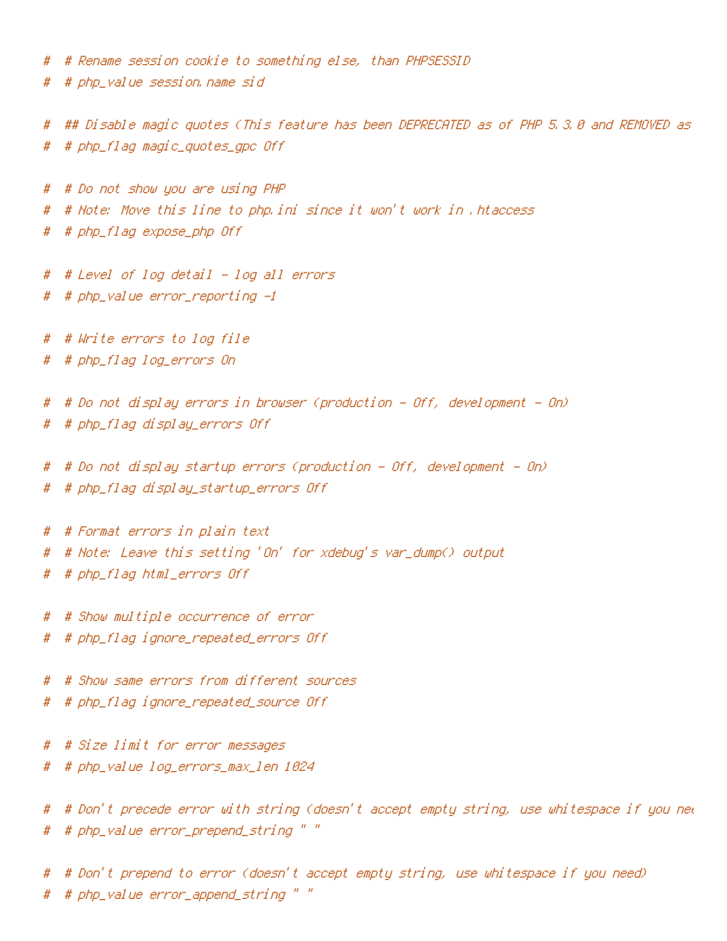# # Rename session cookie to something else, than PHPSESSID

# # php\_value session.name sid

# ## Disable magic guotes (This feature has been DEPRECATED as of PHP 5.3.0 and REMOVED as # # php\_flag magic\_quotes\_gpc Off

# # Do not show you are using PHP # # Note: Move this line to php.ini since it won't work in .htaccess # # php\_flag expose\_php Off

# # Level of log detail - log all errors

# # php\_value error\_reporting -1

# # Write errors to log file # # php\_flag log\_errors On

# # Do not display errors in browser (production - Off, development - On) # # php\_flag display\_errors Off

# # Do not display startup errors (production - Off, development - On)

# # php\_flag display\_startup\_errors Off

# # Format errors in plain text # # Note: Leave this setting 'On' for xdebug's var\_dump() output # # php\_flag html\_errors Off

# # Show multiple occurrence of error

# # php\_flag ignore\_repeated\_errors Off

# # Show same errors from different sources # # php\_flag ignore\_repeated\_source Off

# # Size limit for error messages

# # php\_value log\_errors\_max\_len 1024

# # Don't precede error with string (doesn't accept empty string, use whitespace if you nee # # php\_value error\_prepend\_string " "

# # Don't prepend to error (doesn't accept empty string, use whitespace if you need) # # php\_value error\_append\_string " "